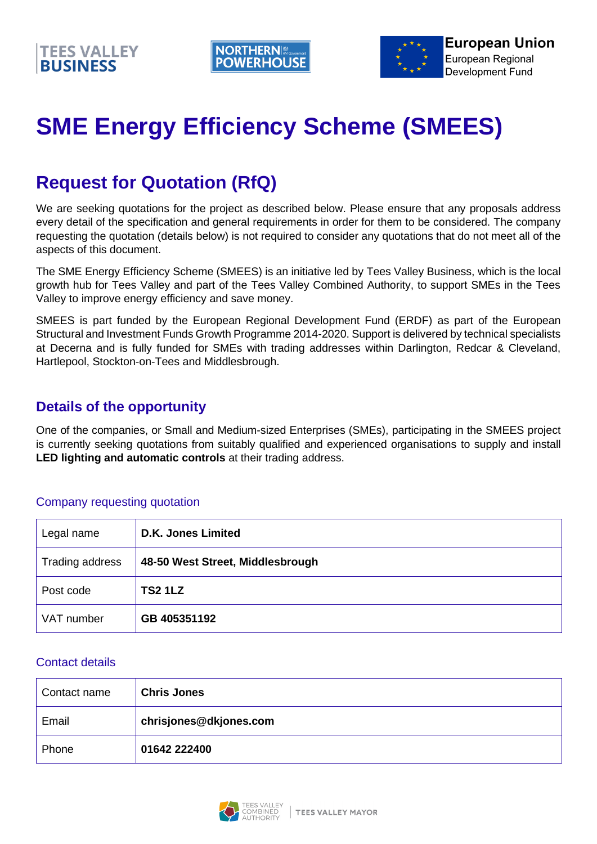



# **SME Energy Efficiency Scheme (SMEES)**

# **Request for Quotation (RfQ)**

We are seeking quotations for the project as described below. Please ensure that any proposals address every detail of the specification and general requirements in order for them to be considered. The company requesting the quotation (details below) is not required to consider any quotations that do not meet all of the aspects of this document.

The SME Energy Efficiency Scheme (SMEES) is an initiative led by Tees Valley Business, which is the local growth hub for Tees Valley and part of the Tees Valley Combined Authority, to support SMEs in the Tees Valley to improve energy efficiency and save money.

SMEES is part funded by the European Regional Development Fund (ERDF) as part of the European Structural and Investment Funds Growth Programme 2014-2020. Support is delivered by technical specialists at Decerna and is fully funded for SMEs with trading addresses within Darlington, Redcar & Cleveland, Hartlepool, Stockton-on-Tees and Middlesbrough.

# **Details of the opportunity**

One of the companies, or Small and Medium-sized Enterprises (SMEs), participating in the SMEES project is currently seeking quotations from suitably qualified and experienced organisations to supply and install **LED lighting and automatic controls** at their trading address.

#### Company requesting quotation

| Legal name      | <b>D.K. Jones Limited</b>        |
|-----------------|----------------------------------|
| Trading address | 48-50 West Street, Middlesbrough |
| Post code       | <b>TS2 1LZ</b>                   |
| VAT number      | GB 405351192                     |

#### Contact details

| Contact name | <b>Chris Jones</b>     |
|--------------|------------------------|
| Email        | chrisjones@dkjones.com |
| Phone        | 01642 222400           |

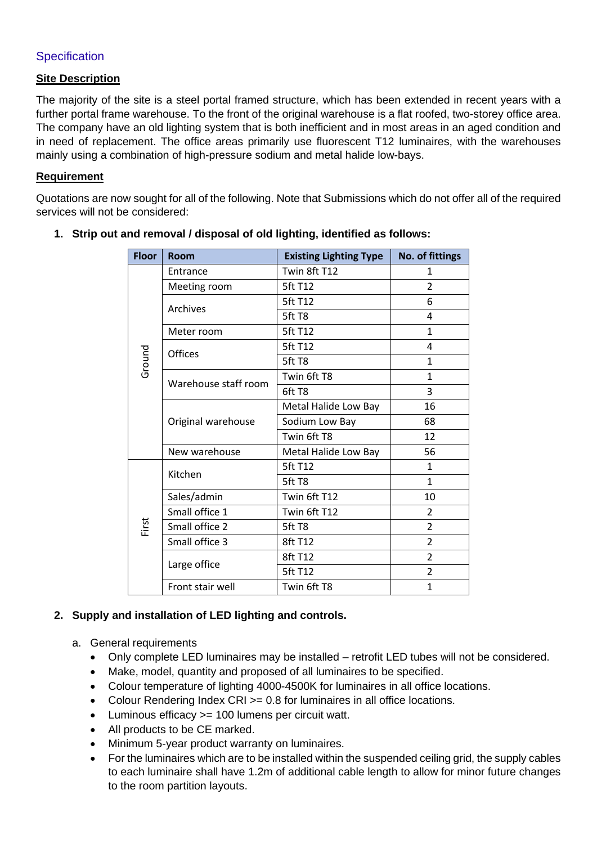#### **Specification**

#### **Site Description**

The majority of the site is a steel portal framed structure, which has been extended in recent years with a further portal frame warehouse. To the front of the original warehouse is a flat roofed, two-storey office area. The company have an old lighting system that is both inefficient and in most areas in an aged condition and in need of replacement. The office areas primarily use fluorescent T12 luminaires, with the warehouses mainly using a combination of high-pressure sodium and metal halide low-bays.

#### **Requirement**

Quotations are now sought for all of the following. Note that Submissions which do not offer all of the required services will not be considered:

| <b>Floor</b> | <b>Room</b>          | <b>Existing Lighting Type</b> | No. of fittings |
|--------------|----------------------|-------------------------------|-----------------|
| Ground       | Entrance             | Twin 8ft T12                  | 1               |
|              | Meeting room         | 5ft T12                       | $\overline{2}$  |
|              | Archives             | 5ft T12                       | 6               |
|              |                      | 5ft T8                        | 4               |
|              | Meter room           | 5ft T12                       | 1               |
|              | Offices              | 5ft T12                       | 4               |
|              |                      | 5ft T8                        | $\mathbf{1}$    |
|              | Warehouse staff room | Twin 6ft T8                   | 1               |
|              |                      | 6ft T8                        | 3               |
|              |                      | Metal Halide Low Bay          | 16              |
|              | Original warehouse   | Sodium Low Bay                | 68              |
|              |                      | Twin 6ft T8                   | 12              |
|              | New warehouse        | Metal Halide Low Bay          | 56              |
| First        | Kitchen              | 5ft T12                       | $\mathbf{1}$    |
|              |                      | 5ft T8                        | $\mathbf{1}$    |
|              | Sales/admin          | Twin 6ft T12                  | 10              |
|              | Small office 1       | Twin 6ft T12                  | $\overline{2}$  |
|              | Small office 2       | 5ft T8                        | $\overline{2}$  |
|              | Small office 3       | 8ft T12                       | $\overline{2}$  |
|              |                      | 8ft T12                       | $\overline{2}$  |
|              | Large office         | 5ft T12                       | $\overline{2}$  |
|              | Front stair well     | Twin 6ft T8                   | $\mathbf{1}$    |

**1. Strip out and removal / disposal of old lighting, identified as follows:**

### **2. Supply and installation of LED lighting and controls.**

- a. General requirements
	- Only complete LED luminaires may be installed retrofit LED tubes will not be considered.
	- Make, model, quantity and proposed of all luminaires to be specified.
	- Colour temperature of lighting 4000-4500K for luminaires in all office locations.
	- Colour Rendering Index CRI >= 0.8 for luminaires in all office locations.
	- Luminous efficacy >= 100 lumens per circuit watt.
	- All products to be CE marked.
	- Minimum 5-year product warranty on luminaires.
	- For the luminaires which are to be installed within the suspended ceiling grid, the supply cables to each luminaire shall have 1.2m of additional cable length to allow for minor future changes to the room partition layouts.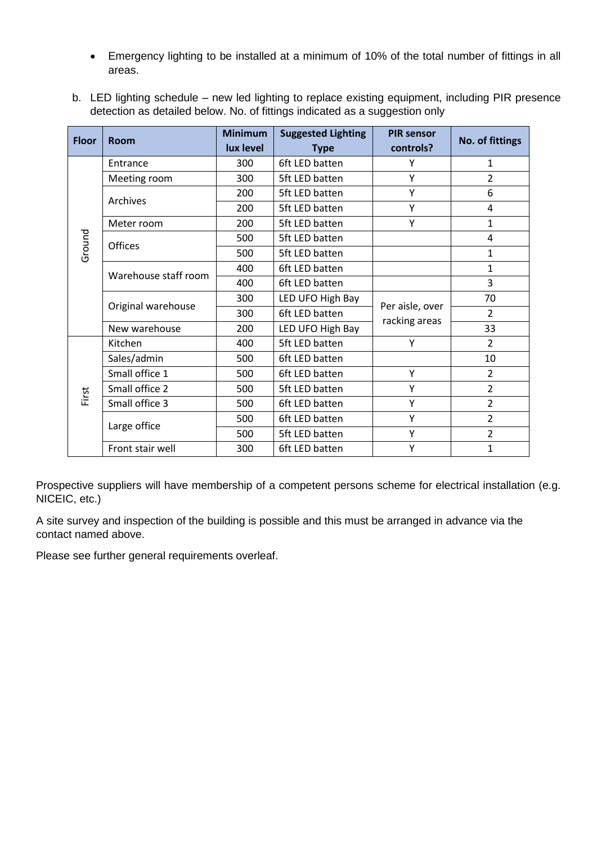- Emergency lighting to be installed at a minimum of 10% of the total number of fittings in all areas.
- b. LED lighting schedule new led lighting to replace existing equipment, including PIR presence detection as detailed below. No. of fittings indicated as a suggestion only

| <b>Floor</b> | <b>Room</b>          | <b>Minimum</b> | <b>Suggested Lighting</b> | <b>PIR sensor</b>                |                 |  |
|--------------|----------------------|----------------|---------------------------|----------------------------------|-----------------|--|
|              |                      | lux level      | <b>Type</b>               | controls?                        | No. of fittings |  |
| Ground       | Entrance             | 300            | 6ft LED batten            | Υ                                | 1               |  |
|              | Meeting room         | 300            | 5ft LED batten            | Y                                | $\overline{2}$  |  |
|              | Archives             | 200            | 5ft LED batten            | Υ                                | 6               |  |
|              |                      | 200            | 5ft LED batten            | Υ                                | 4               |  |
|              | Meter room           | 200            | 5ft LED batten            | Y                                | $\mathbf{1}$    |  |
|              | <b>Offices</b>       | 500            | 5ft LED batten            |                                  | 4               |  |
|              |                      | 500            | 5ft LED batten            |                                  | 1               |  |
|              | Warehouse staff room | 400            | 6ft LED batten            |                                  | $\mathbf{1}$    |  |
|              |                      | 400            | 6ft LED batten            |                                  | 3               |  |
|              | Original warehouse   | 300            | LED UFO High Bay          | Per aisle, over<br>racking areas | 70              |  |
|              |                      | 300            | 6ft LED batten            |                                  | $\overline{2}$  |  |
|              | New warehouse        | 200            | LED UFO High Bay          |                                  | 33              |  |
| First        | Kitchen              | 400            | 5ft LED batten            | Y                                | $\overline{2}$  |  |
|              | Sales/admin          | 500            | 6ft LED batten            |                                  | 10              |  |
|              | Small office 1       | 500            | 6ft LED batten            | Y                                | $\overline{2}$  |  |
|              | Small office 2       | 500            | 5ft LED batten            | Υ                                | $\overline{2}$  |  |
|              | Small office 3       | 500            | 6ft LED batten            | Y                                | $\overline{2}$  |  |
|              |                      | 500            | 6ft LED batten            | Υ                                | $\overline{2}$  |  |
|              | Large office         | 500            | 5ft LED batten            | Υ                                | $\overline{2}$  |  |
|              | Front stair well     | 300            | 6ft LED batten            | Y                                | $\mathbf{1}$    |  |

Prospective suppliers will have membership of a competent persons scheme for electrical installation (e.g. NICEIC, etc.)

A site survey and inspection of the building is possible and this must be arranged in advance via the contact named above.

Please see further general requirements overleaf.